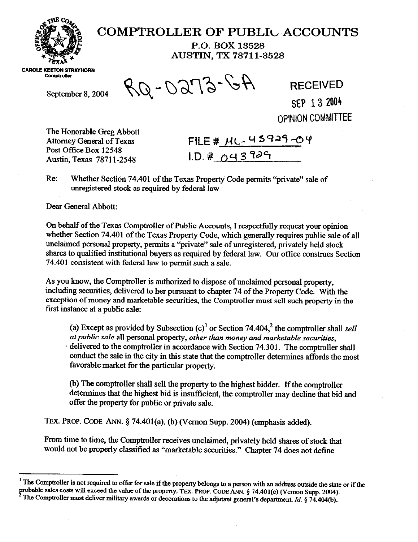

## **COMPTROLLER OF PUBLIL ACCOUNTS**

**P.O. BOX 13528 AUSTIN, TX 78711-3528** 

**CAROLE KEETON STRAYHORN Comptroller** 

September 8, 2004  $RQ - OQT3 - GA$  RECEIVED

## **SEP 13 2004 OPIMON COMMITTEE**

The Honorable Greg Abbott Attorney General of Texas Post Office Box 12548 Austin, Texas 7871 l-2548

FILE #  $\frac{\mu L - 43929 - 04}{\mu L}$ 

Re: Whether Section 74.401 of the Texas Property Code permits "private" sale of unregistered stock as required by federal law

Dear General Abbott:

Gn behalf of the Texas Comptroller of Public Accounts, I respectfully request your opinion whether Section 74.401 of the Texas Property Code, which generally requires public sale of all unclaimed personal property, permits a "private" sale of unregistered, privately held stock shares to qualified institutional buyers as required by federal law. Gur office construes Section 74.401 consistent with federal law to permit such a sale.

As you know, the Comptroller is authorized to dispose of unclaimed personal property, including securities, delivered to her pursuant to chapter 74 of the Property Code. With the exception of money and marketable securities, the Comptroller must sell such property in the first instance at a public sale:

(a) Except as provided by Subsection  $(c)^{1}$  or Section 74.404,<sup>2</sup> the comptroller shall sell *atpublic sale* all personal property, *other than money and marketable securities,*  delivered to the comptroller in accordance with Section 74.301. The comptroller shall conduct the sale in the city in this state that the comptroller determines affords the most favorable market for the particular property.

(b) The comptroller shall sell the property to the highest bidder. If the comptroller determines that the highest bid is insufficient, the comptroller may decline that bid and offer the property for public or private sale.

**TEX. PROP. CODE** ANN. 5 74.401(a), (b) (Vernon Supp. 2004) (emphasis added).

From time to time, the Comptroller *receives* unclaimed, privately held shares of stock that would not be properly classified as "marketable securities." Chapter 74 does not define

**<sup>&#</sup>x27; The Comptroller is not required to offer for sale** if the property belongs to a person with an **address outside the state or if the probable sales costs will exceed the value of the property. TEX. PROP. CODE ANN. § 74.401(c) (Vernon Supp. 2004).** The Comptroller must deliver military awards or decorations to the adjutant general's department. *Id.* § 74.404(b).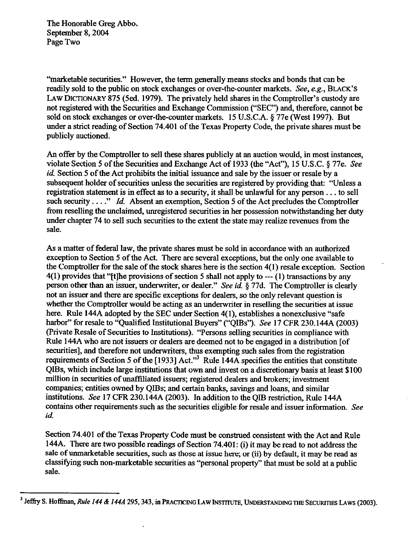The Honorable Greg Abbe, September 8,2004 Page Two

"marketable securities." However, the term generally means stocks and bonds that can be readily sold to the public on stock exchanges or over-the-counter markets. See, e.g., **BLACK'S LAW DICTIONARY** 875 (5ed. 1979). The privately held shares in the Comptroller's custody are not registered with the Securities and Exchange Commission ("SEC") and, therefore, cannot be sold on stock exchanges or over-the-counter markets. 15 U.S.C.A. 5 77e (West 1997). But under a strict reading of Section 74.401 of the Texas Property Code, the private shares must be publicly auctioned.

An offer by the Comptroller to sell these shares publicly at an auction would, in most instances, violate Section 5 of the Securities and Exchange Act of 1933 (the "Act"), 15 U.S.C. § 77e. See *id.* Section 5 of the Act prohibits the initial issuance and sale by the issuer or resale by a subsequent holder of securities unless the securities are registered by providing that: "Unless a registration statement is in effect as to a security, it shall be unlawful for any person. . . to sell such security...." *Id.* Absent an exemption, Section 5 of the Act precludes the Comptroller from reselling the unclaimed, unregistered securities in her possession notwithstanding her duty under chapter 74 to sell such securities to the extent the state may realize revenues from the sale.

As a matter of federal law, the private shares must be sold in accordance with an authorized exception to Section 5 of the Act. There are several exceptions, but the only one available to the Comptroller for the sale of the stock shares here is the section 4(l) resale exception. Section  $4(1)$  provides that "[t]he provisions of section 5 shall not apply to --- (1) transactions by any person other than an issuer, underwriter, or dealer." See *id.* \$77d. The Comptroller is clearly not an issuer and there are specific exceptions for dealers, so the only relevant question is whether the Comptroller would be acting as an underwriter in reselling the securities at issue here. Rule 144A adopted by the SEC under Section 4(1), establishes a nonexclusive "safe harbor" for resale to "Qualified Institutional Buyers" ("QIBs"). See 17 CFR 230.144A (2003) (Private Resale of Securities to Institutions). "Persons selling securities in compliance with Rule 144A who are not issuers or dealers are deemed not to be engaged in a distribution [of securities], and therefore not underwriters, thus exempting such sales from the registration requirements of Section 5 of the [1933] Act."<sup>3</sup> Rule 144A specifies the entities that constitute QIBs, which include large institutions that own and invest on a discretionary basis at least \$100 million in securities of unaffiliated issuers; registered dealers and brokers; investment companies; entities owned by QIBs; and certain banks, savings and loans, and similar institutions. See 17 CFR 230.144A (2003). In addition to the QIB restriction, Rule 144A contains other requirements such as the securities eligible for resale and issuer information. See *id.* 

Section 74.401 of the Texas Property Code must be construed consistent with the Act and Rule 144A. There are two possible readings of Section 74.401: (i) it may be read to not address the sale of unmarketable securities, such as those at issue here; or (ii) by default, it may be read as classifying such non-marketable securities as "personal property" that must be sold at a public sale.

<sup>&</sup>lt;sup>3</sup> Jeffry S. Hoffman, Rule 144 & 144A 295, 343, in PRACTICING LAW INSTITUTE, UNDERSTANDING THE SECURITIES LAWS (2003).